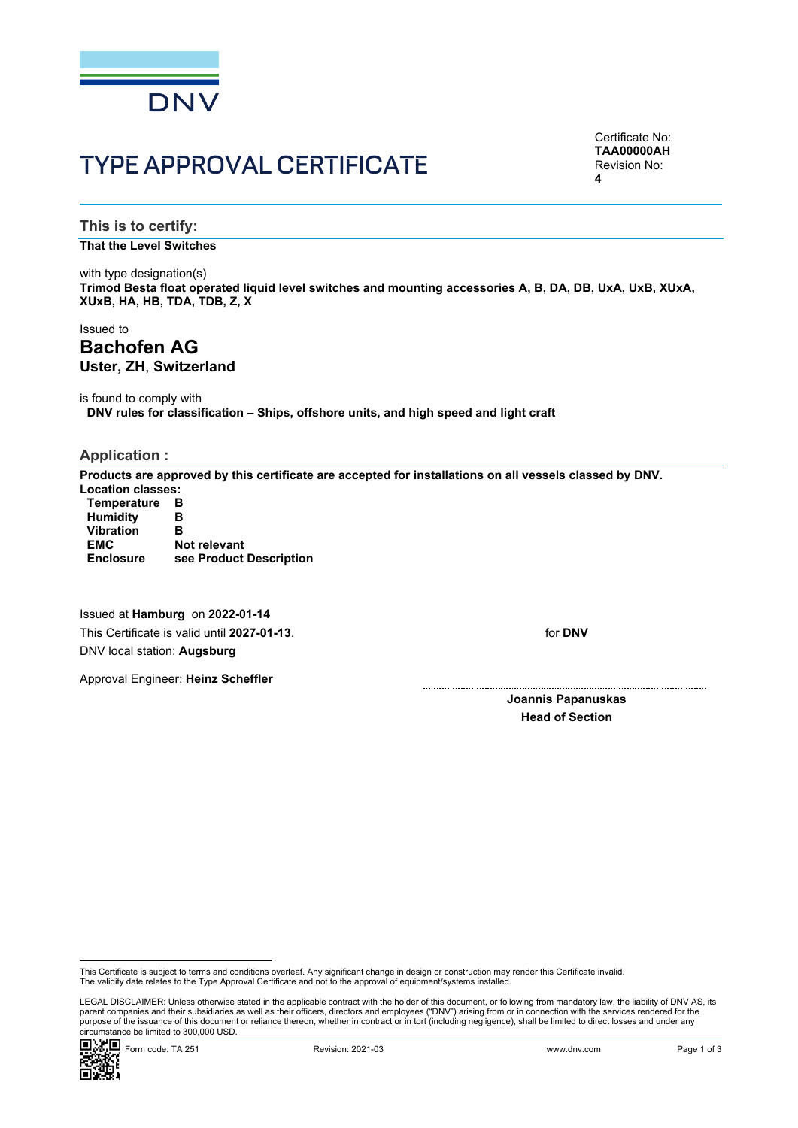

# TYPE APPROVAL CERTIFICATE

Certificate No: **TAA00000AH** Revision No: **4**

**This is to certify:**

**That the Level Switches**

with type designation(s) **Trimod Besta float operated liquid level switches and mounting accessories A, B, DA, DB, UxA, UxB, XUxA, XUxB, HA, HB, TDA, TDB, Z, X**

Issued to **Bachofen AG Uster, ZH**, **Switzerland**

is found to comply with **DNV rules for classification – Ships, offshore units, and high speed and light craft**

### **Application :**

**Products are approved by this certificate are accepted for installations on all vessels classed by DNV. Location classes:**

| <b>Temperature</b> | в                       |
|--------------------|-------------------------|
| <b>Humidity</b>    | в                       |
| <b>Vibration</b>   | в                       |
| <b>EMC</b>         | <b>Not relevant</b>     |
| <b>Enclosure</b>   | see Product Description |

Issued at **Hamburg** on **2022-01-14** This Certificate is valid until **2027-01-13**. DNV local station: **Augsburg**

Approval Engineer: **Heinz Scheffler**

for **DNV**

**Joannis Papanuskas Head of Section**

 LEGAL DISCLAIMER: Unless otherwise stated in the applicable contract with the holder of this document, or following from mandatory law, the liability of DNV AS, its parent companies and their subsidiaries as well as their officers, directors and employees ("DNV") arising from or in connection with the services rendered for the purpose of the issuance of this document or reliance thereon, whether in contract or in tort (including negligence), shall be limited to direct losses and under any circumstance be limited to 300,000 USD.



This Certificate is subject to terms and conditions overleaf. Any significant change in design or construction may render this Certificate invalid.<br>The validity date relates to the Type Approval Certificate and not to the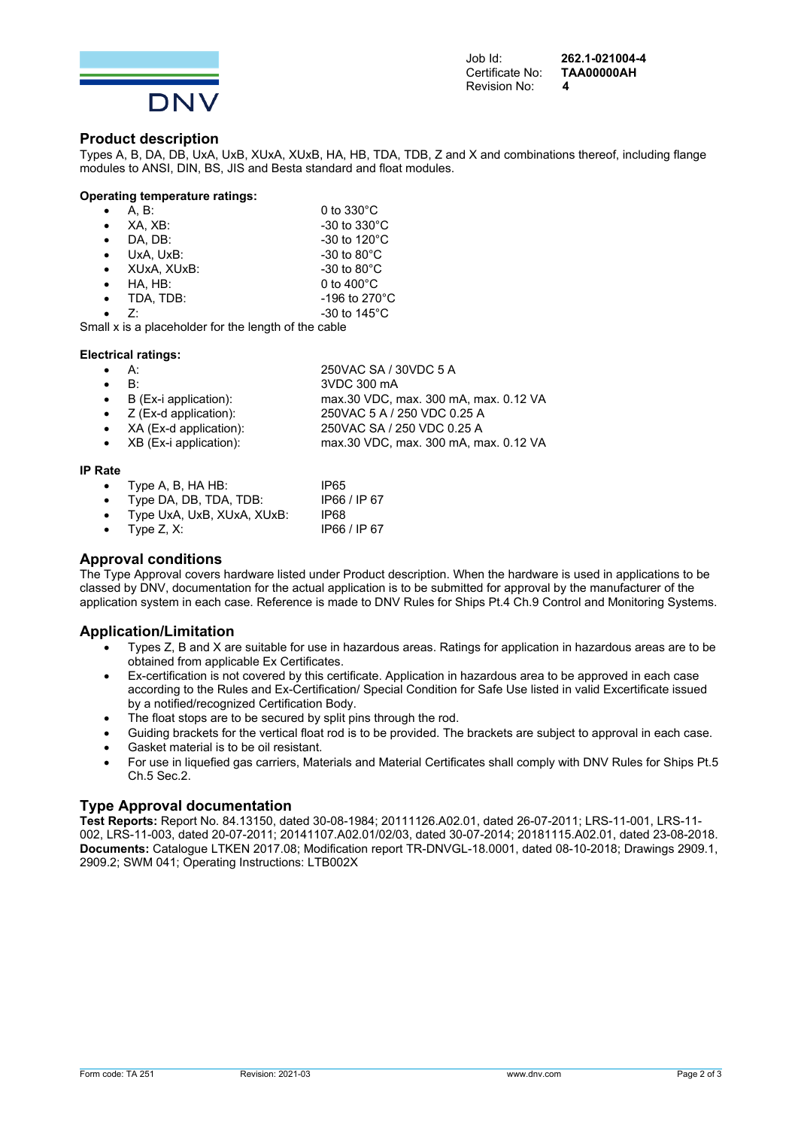

Job Id: **262.1-021004-4 Certificate No:** Revision No: **4** 

#### **Product description**

Types A, B, DA, DB, UxA, UxB, XUxA, XUxB, HA, HB, TDA, TDB, Z and X and combinations thereof, including flange modules to ANSI, DIN, BS, JIS and Besta standard and float modules.

#### **Operating temperature ratings:**

|           | A. B:                                              | 0 to $330^{\circ}$ C     |
|-----------|----------------------------------------------------|--------------------------|
| $\bullet$ | XA, XB:                                            | $-30$ to $330^{\circ}$ C |
| $\bullet$ | DA. DB:                                            | -30 to 120 $^{\circ}$ C  |
| $\bullet$ | UxA. UxB:                                          | $-30$ to $80^{\circ}$ C  |
| $\bullet$ | XUxA, XUxB:                                        | $-30$ to $80^{\circ}$ C  |
| $\bullet$ | HA. HB:                                            | 0 to $400^{\circ}$ C     |
| $\bullet$ | TDA, TDB:                                          | -196 to 270 $^{\circ}$ C |
|           | 7.                                                 | -30 to $145^{\circ}$ C   |
|           | all x is a placebolder for the length of the cable |                          |

Small x is a placeholder for the length of the cable

#### **Electrical ratings:**

| $\bullet$ A:                    | 250 VAC SA / 30 VDC 5 A               |
|---------------------------------|---------------------------------------|
| $\bullet$ $\mathsf{B}^{\cdot}$  | 3VDC 300 mA                           |
| $\bullet$ B (Ex-i application): | max.30 VDC, max. 300 mA, max. 0.12 VA |
| • $Z$ (Ex-d application):       | 250 VAC 5 A / 250 VDC 0.25 A          |
| • $XA$ (Ex-d application):      | 250VAC SA / 250 VDC 0.25 A            |

XB (Ex-i application): max.30 VDC, max. 300 mA, max. 0.12 VA

#### **IP Rate**

- Type A, B, HA HB: IP65
- Type DA, DB, TDA, TDB: IP66 / IP 67
- Type UxA, UxB, XUxA, XUxB: IP68
- Type Z, X: IP66 / IP 67

#### **Approval conditions**

The Type Approval covers hardware listed under Product description. When the hardware is used in applications to be classed by DNV, documentation for the actual application is to be submitted for approval by the manufacturer of the application system in each case. Reference is made to DNV Rules for Ships Pt.4 Ch.9 Control and Monitoring Systems.

#### **Application/Limitation**

- Types Z, B and X are suitable for use in hazardous areas. Ratings for application in hazardous areas are to be obtained from applicable Ex Certificates.
- Ex-certification is not covered by this certificate. Application in hazardous area to be approved in each case according to the Rules and Ex-Certification/ Special Condition for Safe Use listed in valid Excertificate issued by a notified/recognized Certification Body.
- The float stops are to be secured by split pins through the rod.
- Guiding brackets for the vertical float rod is to be provided. The brackets are subject to approval in each case.
- Gasket material is to be oil resistant.
- For use in liquefied gas carriers, Materials and Material Certificates shall comply with DNV Rules for Ships Pt.5 Ch.5 Sec.2.

#### **Type Approval documentation**

**Test Reports:** Report No. 84.13150, dated 30-08-1984; 20111126.A02.01, dated 26-07-2011; LRS-11-001, LRS-11- 002, LRS-11-003, dated 20-07-2011; 20141107.A02.01/02/03, dated 30-07-2014; 20181115.A02.01, dated 23-08-2018. **Documents:** Catalogue LTKEN 2017.08; Modification report TR-DNVGL-18.0001, dated 08-10-2018; Drawings 2909.1, 2909.2; SWM 041; Operating Instructions: LTB002X